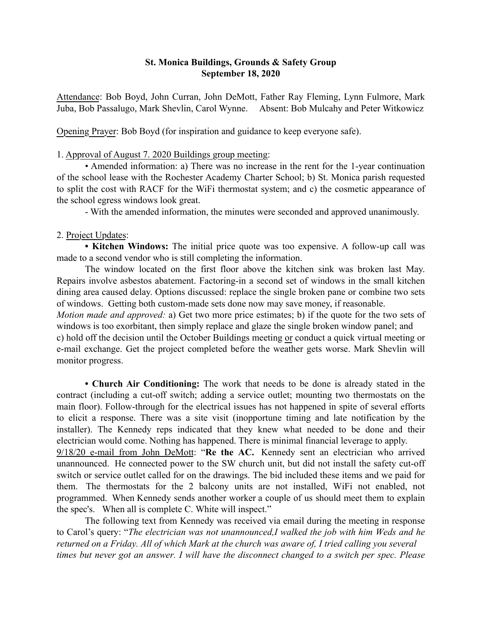## St. Monica Buildings, Grounds & Safety Group September 18, 2020

Attendance: Bob Boyd, John Curran, John DeMott, Father Ray Fleming, Lynn Fulmore, Mark Juba, Bob Passalugo, Mark Shevlin, Carol Wynne. Absent: Bob Mulcahy and Peter Witkowicz

Opening Prayer: Bob Boyd (for inspiration and guidance to keep everyone safe).

## 1. Approval of August 7. 2020 Buildings group meeting:

• Amended information: a) There was no increase in the rent for the 1-year continuation of the school lease with the Rochester Academy Charter School; b) St. Monica parish requested to split the cost with RACF for the WiFi thermostat system; and c) the cosmetic appearance of the school egress windows look great.

- With the amended information, the minutes were seconded and approved unanimously.

## 2. Project Updates:

• Kitchen Windows: The initial price quote was too expensive. A follow-up call was made to a second vendor who is still completing the information.

The window located on the first floor above the kitchen sink was broken last May. Repairs involve asbestos abatement. Factoring-in a second set of windows in the small kitchen dining area caused delay. Options discussed: replace the single broken pane or combine two sets of windows. Getting both custom-made sets done now may save money, if reasonable.

*Motion made and approved:* a) Get two more price estimates; b) if the quote for the two sets of windows is too exorbitant, then simply replace and glaze the single broken window panel; and c) hold off the decision until the October Buildings meeting or conduct a quick virtual meeting or e-mail exchange. Get the project completed before the weather gets worse. Mark Shevlin will monitor progress.

• Church Air Conditioning: The work that needs to be done is already stated in the contract (including a cut-off switch; adding a service outlet; mounting two thermostats on the main floor). Follow-through for the electrical issues has not happened in spite of several efforts to elicit a response. There was a site visit (inopportune timing and late notification by the installer). The Kennedy reps indicated that they knew what needed to be done and their electrician would come. Nothing has happened. There is minimal financial leverage to apply. 9/18/20 e-mail from John DeMott: "Re the AC. Kennedy sent an electrician who arrived unannounced. He connected power to the SW church unit, but did not install the safety cut-off switch or service outlet called for on the drawings. The bid included these items and we paid for them. The thermostats for the 2 balcony units are not installed, WiFi not enabled, not programmed. When Kennedy sends another worker a couple of us should meet them to explain the spec's. When all is complete C. White will inspect."

The following text from Kennedy was received via email during the meeting in response to Carol's query: "*The electrician was not unannounced,I walked the job with him Weds and he returned on a Friday. All of which Mark at the church was aware of, I tried calling you several times but never got an answer. I will have the disconnect changed to a switch per spec. Please*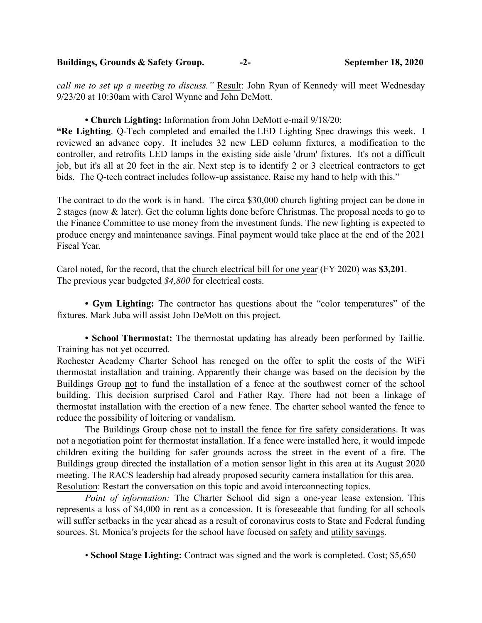Buildings, Grounds & Safety Group. -2- September 18, 2020

*call me to set up a meeting to discuss."* Result: John Ryan of Kennedy will meet Wednesday 9/23/20 at 10:30am with Carol Wynne and John DeMott.

#### • Church Lighting: Information from John DeMott e-mail 9/18/20:

"Re Lighting. Q-Tech completed and emailed the LED Lighting Spec drawings this week. I reviewed an advance copy. It includes 32 new LED column fixtures, a modification to the controller, and retrofits LED lamps in the existing side aisle 'drum' fixtures. It's not a difficult job, but it's all at 20 feet in the air. Next step is to identify 2 or 3 electrical contractors to get bids. The Q-tech contract includes follow-up assistance. Raise my hand to help with this."

The contract to do the work is in hand. The circa \$30,000 church lighting project can be done in 2 stages (now & later). Get the column lights done before Christmas. The proposal needs to go to the Finance Committee to use money from the investment funds. The new lighting is expected to produce energy and maintenance savings. Final payment would take place at the end of the 2021 Fiscal Year.

Carol noted, for the record, that the church electrical bill for one year (FY 2020) was \$3,201. The previous year budgeted *\$4,800* for electrical costs.

• Gym Lighting: The contractor has questions about the "color temperatures" of the fixtures. Mark Juba will assist John DeMott on this project.

• School Thermostat: The thermostat updating has already been performed by Taillie. Training has not yet occurred.

Rochester Academy Charter School has reneged on the offer to split the costs of the WiFi thermostat installation and training. Apparently their change was based on the decision by the Buildings Group not to fund the installation of a fence at the southwest corner of the school building. This decision surprised Carol and Father Ray. There had not been a linkage of thermostat installation with the erection of a new fence. The charter school wanted the fence to reduce the possibility of loitering or vandalism.

The Buildings Group chose not to install the fence for fire safety considerations. It was not a negotiation point for thermostat installation. If a fence were installed here, it would impede children exiting the building for safer grounds across the street in the event of a fire. The Buildings group directed the installation of a motion sensor light in this area at its August 2020 meeting. The RACS leadership had already proposed security camera installation for this area. Resolution: Restart the conversation on this topic and avoid interconnecting topics.

*Point of information:* The Charter School did sign a one-year lease extension. This represents a loss of \$4,000 in rent as a concession. It is foreseeable that funding for all schools will suffer setbacks in the year ahead as a result of coronavirus costs to State and Federal funding sources. St. Monica's projects for the school have focused on safety and utility savings.

• School Stage Lighting: Contract was signed and the work is completed. Cost; \$5,650